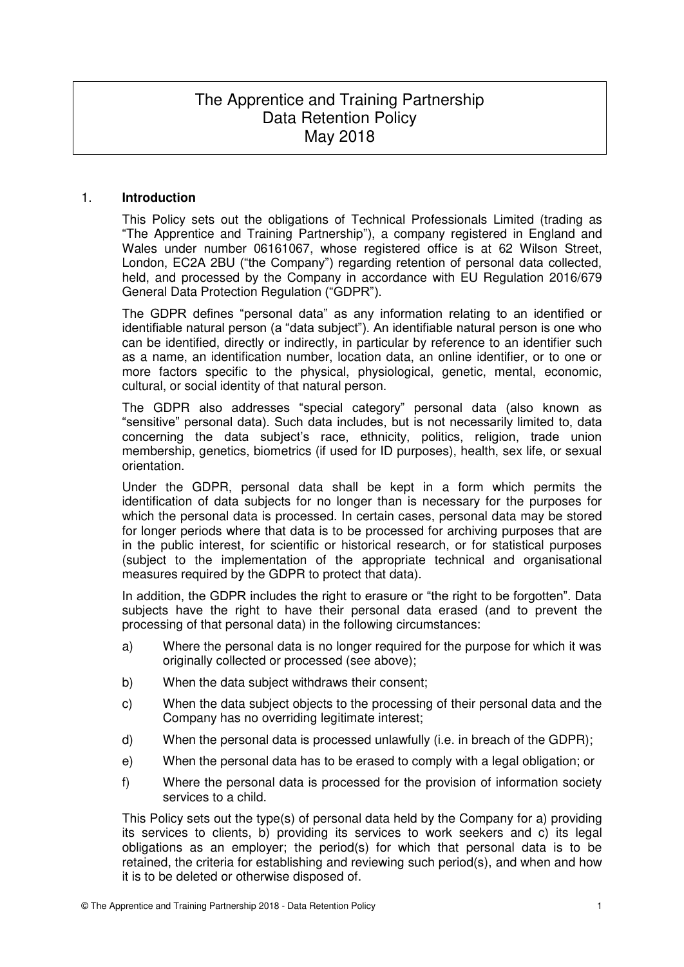# The Apprentice and Training Partnership Data Retention Policy May 2018

## 1. **Introduction**

This Policy sets out the obligations of Technical Professionals Limited (trading as "The Apprentice and Training Partnership"), a company registered in England and Wales under number 06161067, whose registered office is at 62 Wilson Street. London, EC2A 2BU ("the Company") regarding retention of personal data collected, held, and processed by the Company in accordance with EU Regulation 2016/679 General Data Protection Regulation ("GDPR").

The GDPR defines "personal data" as any information relating to an identified or identifiable natural person (a "data subject"). An identifiable natural person is one who can be identified, directly or indirectly, in particular by reference to an identifier such as a name, an identification number, location data, an online identifier, or to one or more factors specific to the physical, physiological, genetic, mental, economic, cultural, or social identity of that natural person.

The GDPR also addresses "special category" personal data (also known as "sensitive" personal data). Such data includes, but is not necessarily limited to, data concerning the data subject's race, ethnicity, politics, religion, trade union membership, genetics, biometrics (if used for ID purposes), health, sex life, or sexual orientation.

Under the GDPR, personal data shall be kept in a form which permits the identification of data subjects for no longer than is necessary for the purposes for which the personal data is processed. In certain cases, personal data may be stored for longer periods where that data is to be processed for archiving purposes that are in the public interest, for scientific or historical research, or for statistical purposes (subject to the implementation of the appropriate technical and organisational measures required by the GDPR to protect that data).

In addition, the GDPR includes the right to erasure or "the right to be forgotten". Data subjects have the right to have their personal data erased (and to prevent the processing of that personal data) in the following circumstances:

- a) Where the personal data is no longer required for the purpose for which it was originally collected or processed (see above);
- b) When the data subject withdraws their consent;
- c) When the data subject objects to the processing of their personal data and the Company has no overriding legitimate interest;
- d) When the personal data is processed unlawfully (i.e. in breach of the GDPR);
- e) When the personal data has to be erased to comply with a legal obligation; or
- f) Where the personal data is processed for the provision of information society services to a child.

This Policy sets out the type(s) of personal data held by the Company for a) providing its services to clients, b) providing its services to work seekers and c) its legal obligations as an employer; the period(s) for which that personal data is to be retained, the criteria for establishing and reviewing such period(s), and when and how it is to be deleted or otherwise disposed of.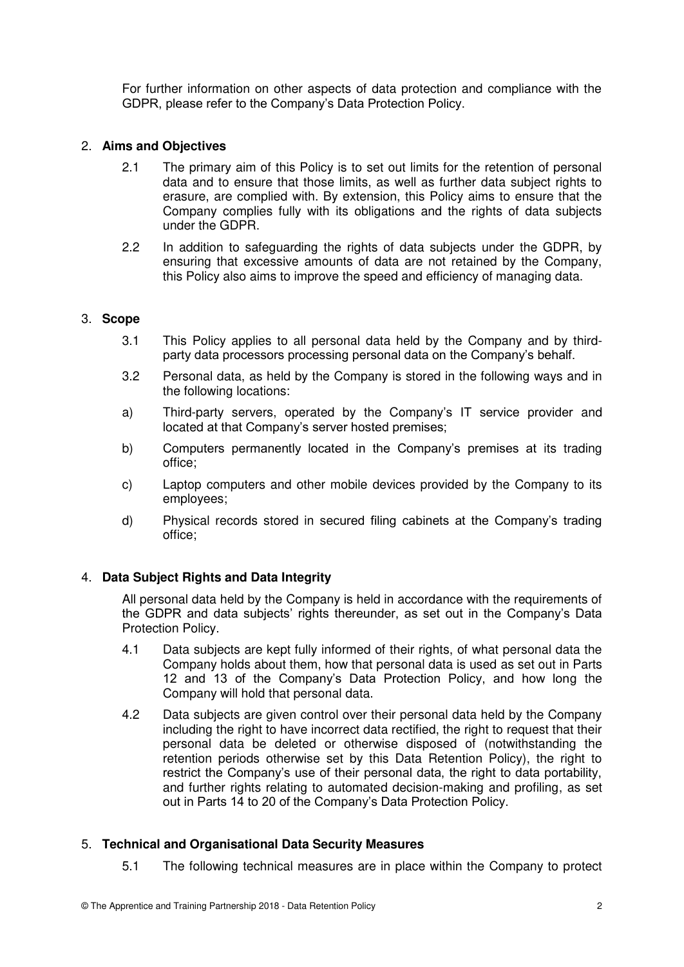For further information on other aspects of data protection and compliance with the GDPR, please refer to the Company's Data Protection Policy.

## 2. **Aims and Objectives**

- 2.1 The primary aim of this Policy is to set out limits for the retention of personal data and to ensure that those limits, as well as further data subject rights to erasure, are complied with. By extension, this Policy aims to ensure that the Company complies fully with its obligations and the rights of data subjects under the GDPR.
- 2.2 In addition to safeguarding the rights of data subjects under the GDPR, by ensuring that excessive amounts of data are not retained by the Company, this Policy also aims to improve the speed and efficiency of managing data.

## 3. **Scope**

- 3.1 This Policy applies to all personal data held by the Company and by thirdparty data processors processing personal data on the Company's behalf.
- 3.2 Personal data, as held by the Company is stored in the following ways and in the following locations:
- a) Third-party servers, operated by the Company's IT service provider and located at that Company's server hosted premises;
- b) Computers permanently located in the Company's premises at its trading office;
- c) Laptop computers and other mobile devices provided by the Company to its employees;
- d) Physical records stored in secured filing cabinets at the Company's trading office;

# 4. **Data Subject Rights and Data Integrity**

All personal data held by the Company is held in accordance with the requirements of the GDPR and data subjects' rights thereunder, as set out in the Company's Data Protection Policy.

- 4.1 Data subjects are kept fully informed of their rights, of what personal data the Company holds about them, how that personal data is used as set out in Parts 12 and 13 of the Company's Data Protection Policy, and how long the Company will hold that personal data.
- 4.2 Data subjects are given control over their personal data held by the Company including the right to have incorrect data rectified, the right to request that their personal data be deleted or otherwise disposed of (notwithstanding the retention periods otherwise set by this Data Retention Policy), the right to restrict the Company's use of their personal data, the right to data portability, and further rights relating to automated decision-making and profiling, as set out in Parts 14 to 20 of the Company's Data Protection Policy.

## 5. **Technical and Organisational Data Security Measures**

5.1 The following technical measures are in place within the Company to protect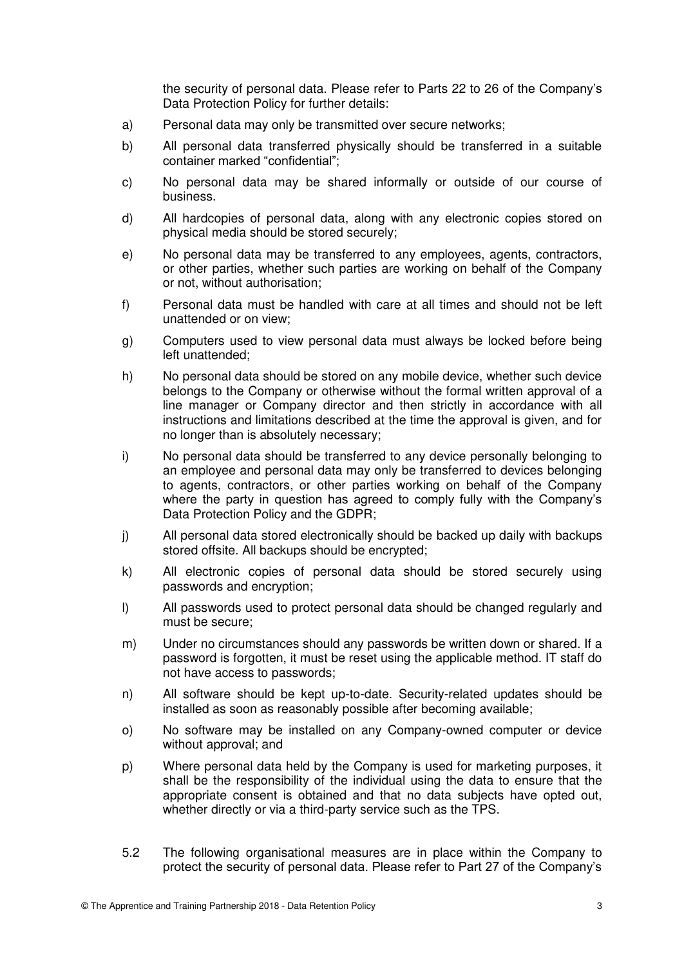the security of personal data. Please refer to Parts 22 to 26 of the Company's Data Protection Policy for further details:

- a) Personal data may only be transmitted over secure networks;
- b) All personal data transferred physically should be transferred in a suitable container marked "confidential";
- c) No personal data may be shared informally or outside of our course of business.
- d) All hardcopies of personal data, along with any electronic copies stored on physical media should be stored securely;
- e) No personal data may be transferred to any employees, agents, contractors, or other parties, whether such parties are working on behalf of the Company or not, without authorisation;
- f) Personal data must be handled with care at all times and should not be left unattended or on view;
- g) Computers used to view personal data must always be locked before being left unattended;
- h) No personal data should be stored on any mobile device, whether such device belongs to the Company or otherwise without the formal written approval of a line manager or Company director and then strictly in accordance with all instructions and limitations described at the time the approval is given, and for no longer than is absolutely necessary;
- i) No personal data should be transferred to any device personally belonging to an employee and personal data may only be transferred to devices belonging to agents, contractors, or other parties working on behalf of the Company where the party in question has agreed to comply fully with the Company's Data Protection Policy and the GDPR;
- j) All personal data stored electronically should be backed up daily with backups stored offsite. All backups should be encrypted;
- k) All electronic copies of personal data should be stored securely using passwords and encryption;
- l) All passwords used to protect personal data should be changed regularly and must be secure;
- m) Under no circumstances should any passwords be written down or shared. If a password is forgotten, it must be reset using the applicable method. IT staff do not have access to passwords;
- n) All software should be kept up-to-date. Security-related updates should be installed as soon as reasonably possible after becoming available;
- o) No software may be installed on any Company-owned computer or device without approval; and
- p) Where personal data held by the Company is used for marketing purposes, it shall be the responsibility of the individual using the data to ensure that the appropriate consent is obtained and that no data subjects have opted out, whether directly or via a third-party service such as the TPS.
- 5.2 The following organisational measures are in place within the Company to protect the security of personal data. Please refer to Part 27 of the Company's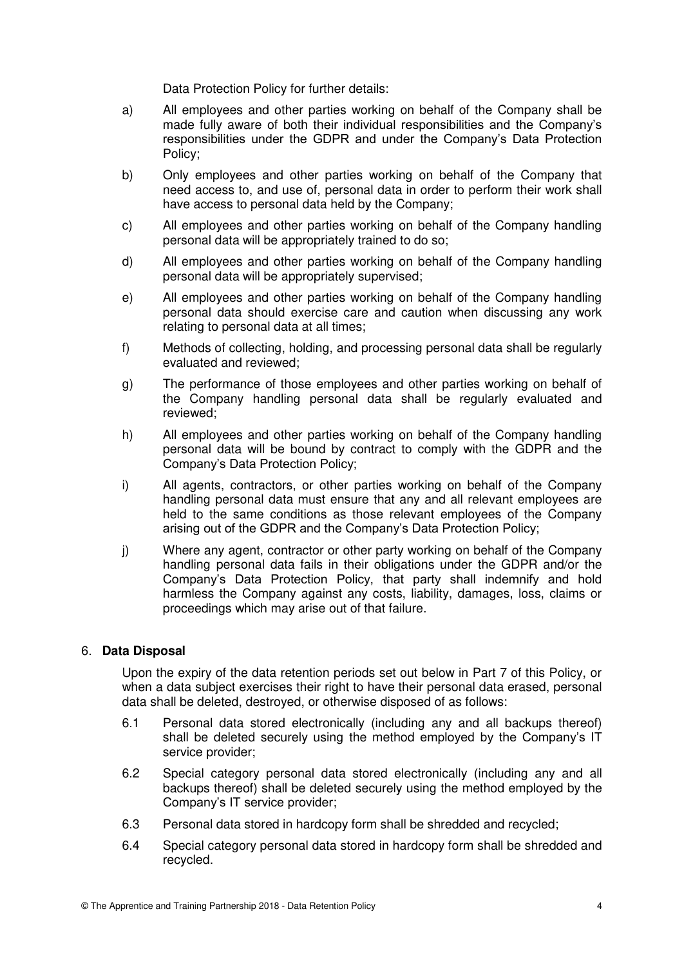Data Protection Policy for further details:

- a) All employees and other parties working on behalf of the Company shall be made fully aware of both their individual responsibilities and the Company's responsibilities under the GDPR and under the Company's Data Protection Policy;
- b) Only employees and other parties working on behalf of the Company that need access to, and use of, personal data in order to perform their work shall have access to personal data held by the Company;
- c) All employees and other parties working on behalf of the Company handling personal data will be appropriately trained to do so;
- d) All employees and other parties working on behalf of the Company handling personal data will be appropriately supervised;
- e) All employees and other parties working on behalf of the Company handling personal data should exercise care and caution when discussing any work relating to personal data at all times;
- f) Methods of collecting, holding, and processing personal data shall be regularly evaluated and reviewed;
- g) The performance of those employees and other parties working on behalf of the Company handling personal data shall be regularly evaluated and reviewed;
- h) All employees and other parties working on behalf of the Company handling personal data will be bound by contract to comply with the GDPR and the Company's Data Protection Policy;
- i) All agents, contractors, or other parties working on behalf of the Company handling personal data must ensure that any and all relevant employees are held to the same conditions as those relevant employees of the Company arising out of the GDPR and the Company's Data Protection Policy;
- j) Where any agent, contractor or other party working on behalf of the Company handling personal data fails in their obligations under the GDPR and/or the Company's Data Protection Policy, that party shall indemnify and hold harmless the Company against any costs, liability, damages, loss, claims or proceedings which may arise out of that failure.

## 6. **Data Disposal**

Upon the expiry of the data retention periods set out below in Part 7 of this Policy, or when a data subject exercises their right to have their personal data erased, personal data shall be deleted, destroyed, or otherwise disposed of as follows:

- 6.1 Personal data stored electronically (including any and all backups thereof) shall be deleted securely using the method employed by the Company's IT service provider;
- 6.2 Special category personal data stored electronically (including any and all backups thereof) shall be deleted securely using the method employed by the Company's IT service provider;
- 6.3 Personal data stored in hardcopy form shall be shredded and recycled;
- 6.4 Special category personal data stored in hardcopy form shall be shredded and recycled.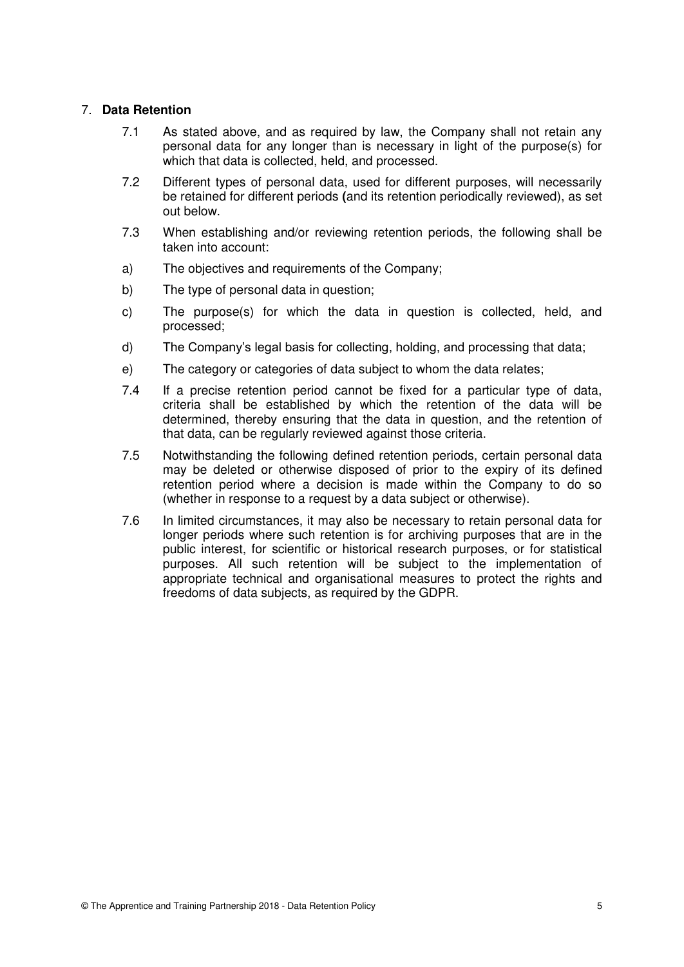#### 7. **Data Retention**

- 7.1 As stated above, and as required by law, the Company shall not retain any personal data for any longer than is necessary in light of the purpose(s) for which that data is collected, held, and processed.
- 7.2 Different types of personal data, used for different purposes, will necessarily be retained for different periods **(**and its retention periodically reviewed), as set out below.
- 7.3 When establishing and/or reviewing retention periods, the following shall be taken into account:
- a) The objectives and requirements of the Company;
- b) The type of personal data in question;
- c) The purpose(s) for which the data in question is collected, held, and processed;
- d) The Company's legal basis for collecting, holding, and processing that data;
- e) The category or categories of data subject to whom the data relates;
- 7.4 If a precise retention period cannot be fixed for a particular type of data, criteria shall be established by which the retention of the data will be determined, thereby ensuring that the data in question, and the retention of that data, can be regularly reviewed against those criteria.
- 7.5 Notwithstanding the following defined retention periods, certain personal data may be deleted or otherwise disposed of prior to the expiry of its defined retention period where a decision is made within the Company to do so (whether in response to a request by a data subject or otherwise).
- 7.6 In limited circumstances, it may also be necessary to retain personal data for longer periods where such retention is for archiving purposes that are in the public interest, for scientific or historical research purposes, or for statistical purposes. All such retention will be subject to the implementation of appropriate technical and organisational measures to protect the rights and freedoms of data subjects, as required by the GDPR.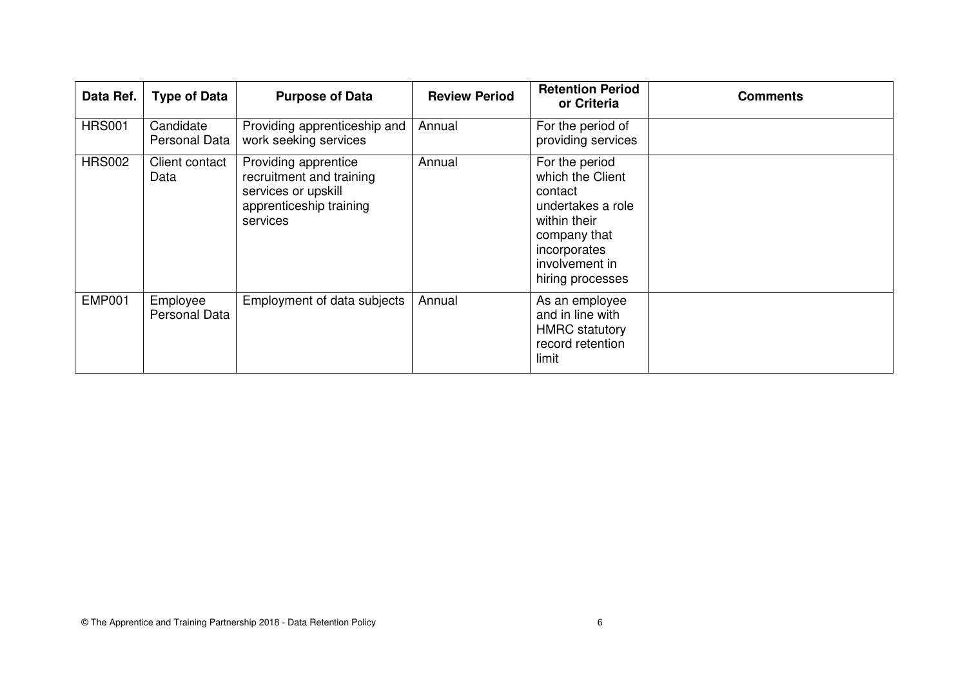| Data Ref.     | <b>Type of Data</b>        | <b>Purpose of Data</b>                                                                                         | <b>Review Period</b> | <b>Retention Period</b><br>or Criteria                                                                                                                   | <b>Comments</b> |
|---------------|----------------------------|----------------------------------------------------------------------------------------------------------------|----------------------|----------------------------------------------------------------------------------------------------------------------------------------------------------|-----------------|
| <b>HRS001</b> | Candidate<br>Personal Data | Providing apprenticeship and<br>work seeking services                                                          | Annual               | For the period of<br>providing services                                                                                                                  |                 |
| <b>HRS002</b> | Client contact<br>Data     | Providing apprentice<br>recruitment and training<br>services or upskill<br>apprenticeship training<br>services | Annual               | For the period<br>which the Client<br>contact<br>undertakes a role<br>within their<br>company that<br>incorporates<br>involvement in<br>hiring processes |                 |
| <b>EMP001</b> | Employee<br>Personal Data  | Employment of data subjects                                                                                    | Annual               | As an employee<br>and in line with<br><b>HMRC</b> statutory<br>record retention<br>limit                                                                 |                 |